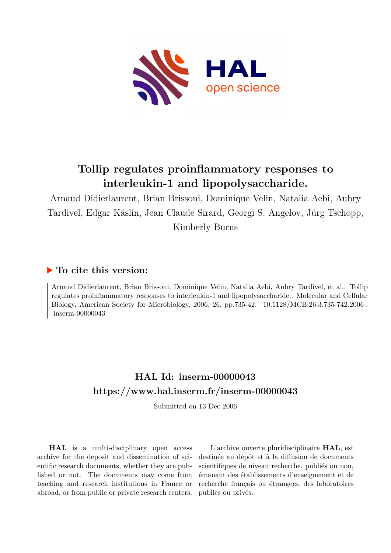

# **Tollip regulates proinflammatory responses to interleukin-1 and lipopolysaccharide.**

Arnaud Didierlaurent, Brian Brissoni, Dominique Velin, Natalia Aebi, Aubry Tardivel, Edgar Käslin, Jean Claude Sirard, Georgi S. Angelov, Jürg Tschopp, Kimberly Burns

# **To cite this version:**

Arnaud Didierlaurent, Brian Brissoni, Dominique Velin, Natalia Aebi, Aubry Tardivel, et al.. Tollip regulates proinflammatory responses to interleukin-1 and lipopolysaccharide.. Molecular and Cellular Biology, American Society for Microbiology, 2006, 26, pp.735-42.  $10.1128/MCB.26.3.735-742.2006$ .  $inserm-000000043$ 

# **HAL Id: inserm-00000043 <https://www.hal.inserm.fr/inserm-00000043>**

Submitted on 13 Dec 2006

**HAL** is a multi-disciplinary open access archive for the deposit and dissemination of scientific research documents, whether they are published or not. The documents may come from teaching and research institutions in France or abroad, or from public or private research centers.

L'archive ouverte pluridisciplinaire **HAL**, est destinée au dépôt et à la diffusion de documents scientifiques de niveau recherche, publiés ou non, émanant des établissements d'enseignement et de recherche français ou étrangers, des laboratoires publics ou privés.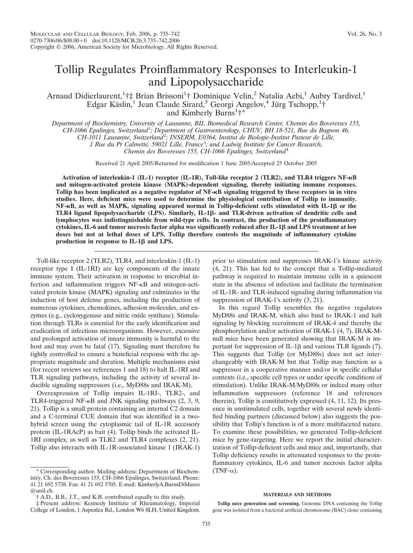# Tollip Regulates Proinflammatory Responses to Interleukin-1 and Lipopolysaccharide

Arnaud Didierlaurent,<sup>1</sup>†‡ Brian Brissoni<sup>1</sup>† Dominique Velin,<sup>2</sup> Natalia Aebi,<sup>1</sup> Aubry Tardivel,<sup>1</sup> Edgar Käslin,<sup>1</sup> Jean Claude Sirard,<sup>3</sup> Georgi Angelov,<sup>4</sup> Jürg Tschopp,<sup>1</sup>† and Kimberly Burns<sup>1</sup>†\*

*Department of Biochemistry, University of Lausanne, BIL Biomedical Research Center, Chemin des Boveresses 155,*

*CH-1066 Epalinges, Switzerland*<sup>1</sup> *; Department of Gastroenterology, CHUV, BH 18-521, Rue du Bugnon 46,*

*CH-1011 Lausanne, Switzerland*<sup>2</sup> *; INSERM, E0364, Institut de Biologie-Institut Pasteur de Lille,*

*1 Rue du Pr Calmette, 59021 Lille, France*<sup>3</sup> *; and Ludwig Institute for Cancer Research,*

*Chemin des Boveresses 155, CH-1066 Epalinges, Switzerland*<sup>4</sup>

Received 21 April 2005/Returned for modification 1 June 2005/Accepted 25 October 2005

**Activation of interleukin-1 (IL-1) receptor (IL-1R), Toll-like receptor 2 (TLR2), and TLR4 triggers NF-B and mitogen-activated protein kinase (MAPK)-dependent signaling, thereby initiating immune responses. Tollip has been implicated as a negative regulator of NF-B signaling triggered by these receptors in in vitro studies. Here, deficient mice were used to determine the physiological contribution of Tollip to immunity. NF-κB, as well as MAPK, signaling appeared normal in Tollip-deficient cells stimulated with IL-1β or the** TLR4 ligand lipopolysaccharide (LPS). Similarly, IL-1β- and TLR-driven activation of dendritic cells and **lymphocytes was indistinguishable from wild-type cells. In contrast, the production of the proinflammatory** cytokines, IL-6 and tumor necrosis factor alpha was significantly reduced after IL-1β and LPS treatment at low **doses but not at lethal doses of LPS. Tollip therefore controls the magnitude of inflammatory cytokine** production in response to  $IL-1\beta$  and  $LPS$ .

Toll-like receptor 2 (TLR2), TLR4, and interleukin-1 (IL-1) receptor type I (IL-1RI) are key components of the innate immune system. Their activation in response to microbial infection and inflammation triggers NF-KB and mitogen-activated protein kinase (MAPK) signaling and culminates in the induction of host defense genes, including the production of numerous cytokines, chemokines, adhesion molecules, and enzymes (e.g., cycloxygenase and nitric oxide synthase). Stimulation through TLRs is essential for the early identification and eradication of infectious microorganisms. However, excessive and prolonged activation of innate immunity is harmful to the host and may even be fatal (17). Signaling must therefore be tightly controlled to ensure a beneficial response with the appropriate magnitude and duration. Multiple mechanisms exist (for recent reviews see references 1 and 18) to halt IL-1RI and TLR signaling pathways, including the activity of several inducible signaling suppressors (i.e., MyD88s and IRAK-M).

Overexpression of Tollip impairs IL-1RI-, TLR2-, and TLR4-triggered NF- $\kappa$ B and JNK signaling pathways (2, 3, 9, 21). Tollip is a small protein containing an internal C2 domain and a C-terminal CUE domain that was identified in a twohybrid screen using the cytoplasmic tail of IL-1R accessory protein (IL-1RAcP) as bait (4). Tollip binds the activated IL-1RI complex, as well as TLR2 and TLR4 complexes (2, 21). Tollip also interacts with IL-1R-associated kinase 1 (IRAK-1)

prior to stimulation and suppresses IRAK-1's kinase activity (4, 21). This has led to the concept that a Tollip-mediated pathway is required to maintain immune cells in a quiescent state in the absence of infection and facilitate the termination of IL-1R- and TLR-induced signaling during inflammation via suppression of IRAK-1's activity (3, 21).

In this regard Tollip resembles the negative regulators MyD88s and IRAK-M, which also bind to IRAK-1 and halt signaling by blocking recruitment of IRAK-4 and thereby the phosphorylation and/or activation of IRAK-1 (4, 7). IRAK-Mnull mice have been generated showing that IRAK-M is important for suppression of IL-1 $\beta$  and various TLR ligands (7). This suggests that Tollip (or MyD88s) does not act interchangeably with IRAK-M but that Tollip may function as a suppressor in a cooperative manner and/or in specific cellular contexts (i.e., specific cell types or under specific conditions of stimulation). Unlike IRAK-M/MyD88s or indeed many other inflammation suppressors (reference 18 and references therein), Tollip is constitutively expressed (4, 11, 12). Its presence in unstimulated cells, together with several newly identified binding partners (discussed below) also suggests the possibility that Tollip's function is of a more multifaceted nature. To examine these possibilities, we generated Tollip-deficient mice by gene-targeting. Here we report the initial characterization of Tollip-deficient cells and mice and, importantly, that Tollip deficiency results in attenuated responses to the proinflammatory cytokines, IL-6 and tumor necrosis factor alpha  $(TNF-\alpha)$ .

#### **MATERIALS AND METHODS**

**Tollip mice generation and screening.** Genomic DNA containing the Tollip gene was isolated from a bacterial artificial chromosome (BAC) clone containing

<sup>\*</sup> Corresponding author. Mailing address: Department of Biochemistry, Ch. des Boveresses 155, CH-1066 Epalinges, Switzerland. Phone: 41 21 692 5738. Fax: 41 21 692 5705. E-mail: KimberlyA.BurnsDiMarco @unil.ch.

<sup>†</sup> A.D., B.B., J.T., and K.B. contributed equally to this study.

<sup>‡</sup> Present address: Kennedy Institute of Rheumatology, Imperial College of London, 1 Aspenlea Rd., London W6 8LH, United Kingdom.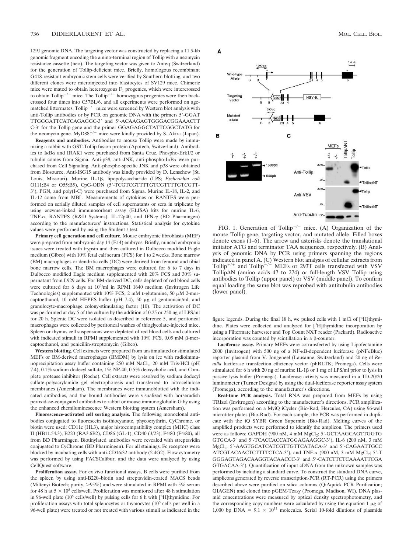129J genomic DNA. The targeting vector was constructed by replacing a 11.5-kb genomic fragment encoding the amino-terminal region of Tollip with a neomycin resistance cassette (neo). The targeting vector was given to Anteq (Switzerland) for the generation of Tollip-deficient mice. Briefly, homologous recombinant G418-resistant embryonic stem cells were verified by Southern blotting, and two different clones were microinjected into blastocytes of SV129 mice. Chimeric mice were mated to obtain heterozygous  $F_1$  progenies, which were intercrossed to obtain Tollip<sup>-/-</sup> mice. The Tollip<sup>-/-</sup> homozygous progenies were then backcrossed four times into C57BL/6, and all experiments were performed on agematched littermates. Tollip<sup> $-/-$ </sup> mice were screened by Western blot analysis with anti-Tollip antibodies or by PCR on genomic DNA with the primers 5-GGAT TTGGGATTCATCAGAGGC-3' and 5'-ACAAGAGTGGGACGGAAACTT C-3' for the Tollip gene and the primer GGAGAGGCTATTCGGCTATG for the neomycin gene. MyD88<sup>-/-</sup> mice were kindly provided by S. Akira (Japan).

**Reagents and antibodies.** Antibodies to mouse Tollip were made by immunizing a rabbit with GST-Tollip fusion protein (Apotech, Switzerland**)**. Antibodies to IκBα and IRAK1 were purchased from Santa Cruz. Phospho-Erk1/2 or tubulin comes from Sigma. Anti-p38, anti-JNK, anti-phospho-I<sub>KB</sub> were purchased from Cell Signaling. Anti-phospho-specific JNK and p38 were obtained from Biosource. Anti-ISG15 antibody was kindly provided by D. Lenschow (St. Louis, Missouri). Murine IL-1 $\beta$ , lipopolysaccharide (LPS; *Escherichia coli* O111:B4 or O55:B5), CpG-ODN (5'-TCGTCGTTTTGTCGTTTTGTCGTT-3), PGN, and poly(I-C) were purchased from Sigma. Murine IL-18, IL-2, and IL-12 come from MBL. Measurements of cytokines or RANTES were performed on serially diluted samples of cell supernatants or sera in triplicate by using enzyme-linked immunosorbent assay (ELISA) kits for murine IL-6, TNF- $\alpha$ , RANTES (R&D Systems), IL-12p40, and IFN- $\gamma$  (BD Pharmingen) according to the manufacturers' instructions. Statistical analysis for cytokine values were performed by using the Student *t* test.

**Primary cell generation and cell culture.** Mouse embryonic fibroblasts (MEF) were prepared from embryonic day 14 (E14) embryos. Briefly, minced embryonic issues were treated with trypsin and then cultured in Dulbecco modified Eagle medium (Gibco) with 10% fetal calf serum (FCS) for 1 to 2 weeks. Bone marrow (BM) macrophages or dendritic cells (DC) were derived from femoral and tibial bone marrow cells. The BM macrophages were cultured for 6 to 7 days in Dulbecco modified Eagle medium supplemented with 20% FCS and 30% supernatant from L929 cells. For BM-derived DC, cells depleted of red blood cells were cultured for 6 days at 10<sup>6</sup>/ml in RPMI 1640 medium (Invitrogen Life Technologies) supplemented with  $10\%$  FCS, 2 mM L-glutamine, 50  $\mu$ M 2-mercaptoethanol, 10 mM HEPES buffer (pH 7.4), 50  $\mu$ g of gentamicin/ml, and granulocyte-macrophage colony-stimulating factor (10). The activation of DC was performed at day 5 of the culture by the addition of 0.25 or 250 ng of LPS/ml for 20 h. Splenic DC were isolated as described in reference 5, and peritoneal macrophages were collected by peritoneal washes of thioglycolate-injected mice. Spleen or thymus cell suspensions were depleted of red blood cells and cultured with indicated stimuli in RPMI supplemented with  $10\%$  FCS, 0.05 mM  $\beta$ -mercaptoethanol, and penicillin-streptomycin (Gibco).

**Western blotting.** Cell extracts were prepared from unstimulated or stimulated MEFs or BM-derived macrophages (BMDM) by lysis on ice with radioimmunoprecipitation assay buffer containing  $250$  mM NaCl<sub>2</sub>,  $20$  mM Tris-HCl (pH 7.4), 0.1% sodium dodecyl sulfate, 1% NP-40, 0.5% deoxycholic acid, and Complete protease inhibitor (Roche). Cell extracts were resolved by sodium dodecyl sulfate-polyacrylamide gel electrophoresis and transferred to nitrocellulose membranes (Amersham). The membranes were immunoblotted with the indicated antibodies, and the bound antibodies were visualized with horseradish peroxidase-conjugated antibodies to rabbit or mouse immunoglobulin G by using the enhanced chemiluminescence Western blotting system (Amersham).

**Fluorescence-activated cell sorting analysis.** The following monoclonal antibodies conjugated to fluorescein isothiocyanate, phycoerythrin, CyChrome, or biotin were used: CD11c (HL3), major histocompatibility complex (MHC) class II (HB11.54.3), B220 (RA3.6B2), CD86 (GL-1), CD40 (3/23), F4/80 (F4/80), all from BD Pharmingen. Biotinylated antibodies were revealed with streptavidin conjugated to CyChrome (BD Pharmingen). For all stainings, Fc receptors were blocked by incubating cells with anti-CD16/32 antibody (2.4G2). Flow cytometry was performed by using FACSCalibur, and the data were analyzed by using CellQuest software.

**Proliferation assay.** For ex vivo functional assays, B cells were purified from the spleen by using anti-B220–biotin and streptavidin-coated MACS beads (Miltenyi Biotech; purity,  $>95\%$ ) and were stimulated in RPMI with 5% serum for 48 h at  $5 \times 10^5$  cells/well. Proliferation was monitored after 48 h stimulation in 96-well plate (10<sup>5</sup> cells/well) by pulsing cells for 6 h with [<sup>3</sup>H]thymidine. For proliferation assays with total splenocytes or thymocytes  $(10^5 \text{ cells per well in a})$ 96-well plate) were treated or not treated with various stimuli as indicated in the



FIG. 1. Generation of Tollip<sup>-/-</sup> mice. (A) Organization of the mouse Tollip gene, targeting vector, and mutated allele. Filled boxes denote exons (1–6). The arrow and asterisks denote the translational initiator ATG and terminator TAA sequences, respectively. (B) Analysis of genomic DNA by PCR using primers spanning the regions indicated in panel A. (C) Western blot analysis of cellular extracts from Tollip<sup>+/+</sup> and Tollip<sup> $-/-$ </sup> MEFs or 293T cells transfected with VSV TollipAN (amino acids 47 to 274) or full-length VSV Tollip using antibodies to Tollip (upper panel) or VSV (middle panel). To confirm equal loading the same blot was reprobed with antitubulin antibodies (lower panel).

figure legends. During the final 18 h, we pulsed cells with 1 mCi of [3H]thymidine. Plates were collected and analyzed for [<sup>3</sup>H]thymidine incorporation by using a Filtermate harvester and Top Count NXT reader (Packard). Radioactive incorporation was counted by scintillation in a  $\beta$ -counter.

**Luciferase assay.** Primary MEFs were cotransfected by using Lipofectamine 2000 (Invitrogen) with 500 ng of a NF-KB-dependent luciferase (pNFKBluc) reporter plasmid from V. Jongeneel (Lausanne, Switzerland) and 20 ng of *Renilla* luciferase transfection efficiency vector (phRLTK; Promega). Cells were stimulated for 6 h with 20 ng of murine IL-1 $\beta$  or 1 mg of LPS/ml prior to lysis in passive lysis buffer (Promega). Luciferase activity was measured in a TD-20/20 luminometer (Turner Designs) by using the dual-luciferase reporter assay system (Promega), according to the manufacturer's directions.

**Real-time PCR analysis.** Total RNA was prepared from MEFs by using TRIzol (Invitrogen) according to the manufacturer's directions. PCR amplification was performed on a MyiQ iCycler (Bio-Rad, Hercules, CA) using 96-well microtiter plates (Bio-Rad). For each sample, the PCR was performed in duplicate with the iQ SYBR Green Supermix (Bio-Rad). Melting curves of the amplified products were performed to identify the amplicon. The primers used were as follows: GAPDH (900 nM, 4 mM MgCl<sub>2</sub>; 5'-GCTAAGCAGTTGGTG GTGCA-3' and 5'-TCACCACCATGGAGAAGGC-3'), IL-6 (200 nM, 3 mM MgCl<sub>2</sub>; 5'-AAGTGCATCATCGTTGTTCATACA-3' and 5'-CAGAATTGCC ATCGTACAACTCTTTTCTCA-3'), and TNF- $\alpha$  (900 nM, 3 mM MgCl<sub>2</sub>; 5'-T GGGAGTAGACAAGGTACAACCC-3 and 5-CATCTTCTCAAAATTCGA GTGACAA-3). Quantification of input cDNA from the unknown samples was performed by including a standard curve. To construct the standard DNA curve, amplicons generated by reverse transcription-PCR (RT-PCR) using the primers described above were purified on silica columns (QiAquick PCR Purification; QIAGEN) and cloned into pGEM-Teasy (Promega, Madison, WI). DNA plasmid concentrations were measured by optical density spectrophotometry, and the corresponding copy numbers were calculated by using the equation  $1 \mu$ g of 1,000 bp DNA =  $9.1 \times 10^{11}$  molecules. Serial 10-fold dilutions of plasmids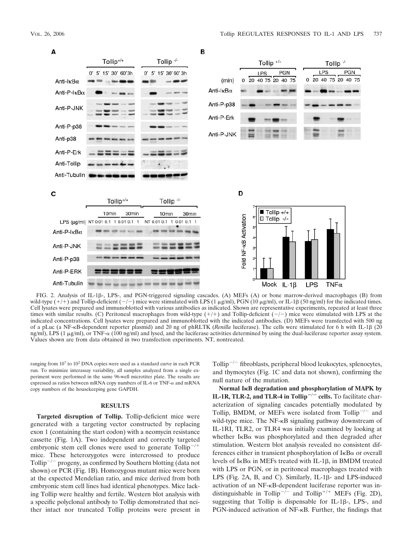

FIG. 2. Analysis of IL-1 $\beta$ -, LPS-, and PGN-triggered signaling cascades. (A) MEFs (A) or bone marrow-derived macrophages (B) from wild-type  $(+)+$  and Tollip-deficient  $(-/-)$  mice were stimulated with LPS (1  $\mu$ g/ml), PGN (10  $\mu$ g/ml), or IL-1 $\beta$  (50 ng/ml) for the indicated times. Cell lysates were prepared and immunoblotted with various antibodies as indicated. Shown are representative experiments, repeated at least three times with similar results. (C) Peritoneal macrophages from wild-type  $(+/+)$  and Tollip-deficient  $(-/-)$  mice were stimulated with LPS at the indicated concentrations. Cell lysates were prepared and immunoblotted with the indicated antibodies. (D) MEFs were transfected with 500 ng of a pLuc (a NF-<sub>K</sub>B-dependent reporter plasmid) and 20 ng of phRLTK (*Renilla* luciferase). The cells were stimulated for 6 h with IL-1 $\beta$  (20 ng/ml), LPS (1  $\mu$ g/ml), or TNF- $\alpha$  (100 ng/ml) and lysed, and the luciferase activities determined by using the dual-luciferase reporter assay system. Values shown are from data obtained in two transfection experiments. NT, nontreated.

ranging from  $10<sup>7</sup>$  to  $10<sup>2</sup>$  DNA copies were used as a standard curve in each PCR run. To minimize interassay variability, all samples analyzed from a single experiment were performed in the same 96-well microtiter plate. The results are expressed as ratios between mRNA copy numbers of IL-6 or TNF- $\alpha$  and mRNA copy numbers of the housekeeping gene GAPDH.

## **RESULTS**

**Targeted disruption of Tollip.** Tollip-deficient mice were generated with a targeting vector constructed by replacing exon 1 (containing the start codon) with a neomycin resistance cassette (Fig. 1A). Two independent and correctly targeted embryonic stem cell clones were used to generate  $Tollip^{-/-}$ mice. These heterozygotes were intercrossed to produce Tollip<sup> $-/-$ </sup> progeny, as confirmed by Southern blotting (data not shown) or PCR (Fig. 1B). Homozygous mutant mice were born at the expected Mendelian ratio, and mice derived from both embryonic stem cell lines had identical phenotypes. Mice lacking Tollip were healthy and fertile. Western blot analysis with a specific polyclonal antibody to Tollip demonstrated that neither intact nor truncated Tollip proteins were present in

Tollip<sup> $-/-$ </sup> fibroblasts, peripheral blood leukocytes, splenocytes, and thymocytes (Fig. 1C and data not shown), confirming the null nature of the mutation.

**Normal IB degradation and phosphorylation of MAPK by IL-1R, TLR-2, and TLR-4 in Tollip<sup>** $-/-$ **</sup> cells.** To facilitate characterization of signaling cascades potentially modulated by Tollip, BMDM, or MEFs were isolated from Tollip<sup>-/-</sup> and wild-type mice. The NF-KB signaling pathway downstream of IL-1RI, TLR2, or TLR4 was initially examined by looking at whether  $I \kappa B\alpha$  was phosphorylated and then degraded after stimulation. Western blot analysis revealed no consistent differences either in transient phosphorylation of  $I \kappa B\alpha$  or overall levels of  $I \kappa B\alpha$  in MEFs treated with IL-1 $\beta$ , in BMDM treated with LPS or PGN, or in peritoneal macrophages treated with LPS (Fig. 2A, B, and C). Similarly, IL-1 $\beta$ - and LPS-induced activation of an NF-KB-dependent luciferase reporter was indistinguishable in Tollip<sup>-/-</sup> and Tollip<sup>+/+</sup> MEFs (Fig. 2D), suggesting that Tollip is dispensable for IL-1 $\beta$ -, LPS-, and PGN-induced activation of NF-<sub>K</sub>B. Further, the findings that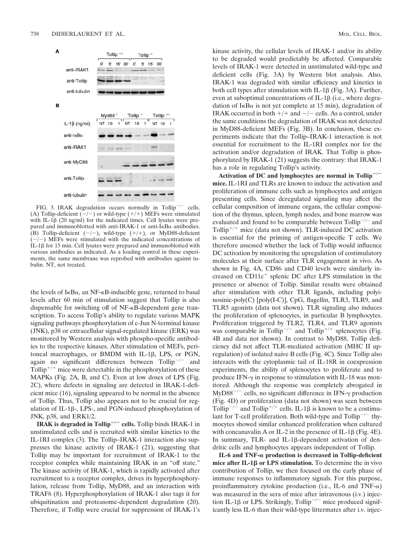

FIG. 3. IRAK degradation occurs normally in Tollip<sup>-/-</sup> cells. (A) Tollip-deficient  $(-/-)$  or wild-type  $(+/+)$  MEFs were stimulated with IL-1 $\beta$  (20 ng/ml) for the indicated times. Cell lysates were prepared and immunoblotted with anti-IRAK-1 or anti-I $\kappa$ B $\alpha$  antibodies. (B) Tollip-deficient  $(-/-)$ , wild-type  $(+/+)$ , or MyD88-deficient  $(-/-)$  MEFs were stimulated with the indicated concentrations of  $IL-1\beta$  for 15 min. Cell lysates were prepared and immunoblotted with various antibodies as indicated. As a loading control in these experiments, the same membrane was reprobed with antibodies against tubulin. NT, not treated.

the levels of  $I \kappa B\alpha$ , an NF- $\kappa B$ -inducible gene, returned to basal levels after 60 min of stimulation suggest that Tollip is also dispensable for switching off of NF- $\kappa$ B-dependent gene transcription. To access Tollip's ability to regulate various MAPK signaling pathways phosphorylation of c-Jun N-terminal kinase (JNK), p38 or extracellular signal-regulated kinase (ERK) was monitored by Western analysis with phospho-specific antibodies to the respective kinases. After stimulation of MEFs, peritoneal macrophages, or BMDM with IL-1 $\beta$ , LPS, or PGN, again no significant differences between  $Tollip^{-/-}$  and Tollip<sup> $+/+$ </sup> mice were detectable in the phosphorylation of these MAPKs (Fig. 2A, B, and C). Even at low doses of LPS (Fig. 2C), where defects in signaling are detected in IRAK-1-deficient mice (16), signaling appeared to be normal in the absence of Tollip. Thus, Tollip also appears not to be crucial for regulation of IL-1 $\beta$ -, LPS-, and PGN-induced phosphorylation of JNK, p38, and ERK1/2.

**IRAK is degraded in Tollip<sup>-/-</sup> cells.** Tollip binds IRAK-1 in unstimulated cells and is recruited with similar kinetics to the IL-1RI complex (3). The Tollip–IRAK-1 interaction also suppresses the kinase activity of IRAK-1 (21), suggesting that Tollip may be important for recruitment of IRAK-1 to the receptor complex while maintaining IRAK in an "off state." The kinase activity of IRAK-1, which is rapidly activated after recruitment to a receptor complex, drives its hyperphosphorylation, release from Tollip, MyD88, and an interaction with TRAF6 (8). Hyperphosphorylation of IRAK-1 also tags it for ubiquitination and proteasome-dependent degradation (20). Therefore, if Tollip were crucial for suppression of IRAK-1's kinase activity, the cellular levels of IRAK-1 and/or its ability to be degraded would predictably be affected. Comparable levels of IRAK-1 were detected in unstimulated wild-type and deficient cells (Fig. 3A) by Western blot analysis. Also, IRAK-1 was degraded with similar efficiency and kinetics in both cell types after stimulation with IL-1 $\beta$  (Fig. 3A). Further, even at suboptimal concentrations of IL-1 $\beta$  (i.e., where degradation of I $\kappa$ B $\alpha$  is not yet complete at 15 min), degradation of IRAK occurred in both  $+/+$  and  $-/-$  cells. As a control, under the same conditions the degradation of IRAK was not detected in MyD88-deficient MEFs (Fig. 3B). In conclusion, these experiments indicate that the Tollip–IRAK-1 interaction is not essential for recruitment to the IL-1RI complex nor for the activation and/or degradation of IRAK. That Tollip is phosphorylated by IRAK-1 (21) suggests the contrary: that IRAK-1 has a role in regulating Tollip's activity.

Activation of DC and lymphocytes are normal in Tollip<sup>-/-</sup> **mice.** IL-1RI and TLRs are known to induce the activation and proliferation of immune cells such as lymphocytes and antigen presenting cells. Since deregulated signaling may affect the cellular composition of immune organs, the cellular composition of the thymus, spleen, lymph nodes, and bone marrow was evaluated and found to be comparable between  $Tollip^{-/-}$  and Tollip<sup>+/+</sup> mice (data not shown). TLR-induced DC activation is essential for the priming of antigen-specific T cells. We therefore assessed whether the lack of Tollip would influence DC activation by monitoring the upregulation of costimulatory molecules at their surface after TLR engagement in vivo. As shown in Fig. 4A, CD86 and CD40 levels were similarly increased on  $CD11c<sup>+</sup>$  splenic DC after LPS stimulation in the presence or absence of Tollip. Similar results were obtained after stimulation with other TLR ligands, including polyinosinic-poly(C) [poly(I-C)], CpG, flagellin, TLR3, TLR9, and TLR5 agonists (data not shown). TLR signaling also induces the proliferation of splenocytes, in particular B lymphocytes. Proliferation triggered by TLR2, TLR4, and TLR9 agonists was comparable in Tollip<sup>-/-</sup> and Tollip<sup>+/+</sup> splenocytes (Fig. 4B and data not shown). In contrast to MyD88, Tollip deficiency did not affect TLR-mediated activation (MHC II upregulation) of isolated naive B cells (Fig. 4C). Since Tollip also interacts with the cytoplasmic tail of IL-18R in coexpression experiments, the ability of splenocytes to proliferate and to produce IFN- $\gamma$  in response to stimulation with IL-18 was monitored. Although the response was completely abrogated in MyD88<sup>-/-</sup> cells, no significant difference in IFN- $\gamma$  production (Fig. 4D) or proliferation (data not shown) was seen between Tollip<sup>-/-</sup> and Tollip<sup>+/+</sup> cells. IL-1 $\beta$  is known to be a costimulant for T-cell proliferation. Both wild-type and  $T$ ollip<sup>-/-</sup> thymocytes showed similar enhanced proliferation when cultured with concanavalin A or IL-2 in the presence of IL-1 $\beta$  (Fig. 4E). In summary, TLR- and IL-1 $\beta$ -dependent activation of dendritic cells and lymphocytes appears independent of Tollip.

IL-6 and TNF- $\alpha$  production is decreased in Tollip-deficient **mice after IL-1β or LPS stimulation.** To determine the in vivo contribution of Tollip, we then focused on the early phase of immune responses to inflammatory signals. For this purpose, proinflammatory cytokine production (i.e., IL-6 and TNF- $\alpha$ ) was measured in the sera of mice after intravenous (i.v.) injection IL-1 $\beta$  or LPS. Strikingly, Tollip<sup>-/-</sup> mice produced significantly less IL-6 than their wild-type littermates after i.v. injec-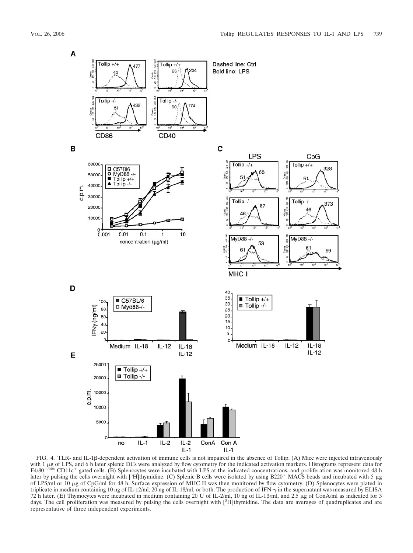

FIG. 4. TLR- and IL-1β-dependent activation of immune cells is not impaired in the absence of Tollip. (A) Mice were injected intravenously with 1 µg of LPS, and 6 h later splenic DCs were analyzed by flow cytometry for the indicated activation markers. Histograms represent data for  $F4/80^{-/10W}$  CD11c<sup>+</sup> gated cells. (B) Splenocytes were incubated with LPS at the indicated concentrations, and proliferation was monitored 48 h later by pulsing the cells overnight with [3H]thymidine. (C) Splenic B cells were isolated by using B220<sup>+</sup> MACS beads and incubated with 5  $\mu$ g of LPS/ml or 10 g of CpG/ml for 48 h. Surface expression of MHC II was then monitored by flow cytometry. (D) Splenocytes were plated in triplicate in medium containing 10 ng of IL-12/ml, 20 ng of IL-18/ml, or both. The production of IFN- $\gamma$  in the supernatant was measured by ELISA 72 h later. (E) Thymocytes were incubated in medium containing 20 U of IL-2/ml, 10 ng of IL-1 $\beta$ /ml, and 2.5 µg of ConA/ml as indicated for 3 days. The cell proliferation was measured by pulsing the cells overnight with [3H]thymidine. The data are averages of quadruplicates and are representative of three independent experiments.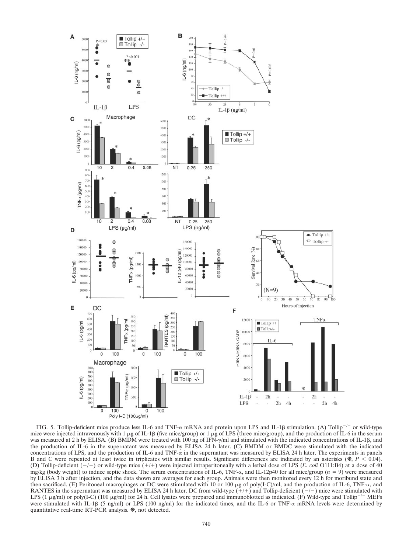

FIG. 5. Tollip-deficient mice produce less IL-6 and TNF- $\alpha$  mRNA and protein upon LPS and IL-1 $\beta$  stimulation. (A) Tollip<sup>-/-</sup> or wild-type mice were injected intravenously with 1  $\mu$ g of IL-1 $\beta$  (five mice/group) or 1  $\mu$ g of LPS (three mice/group), and the production of IL-6 in the serum was measured at 2 h by ELISA. (B) BMDM were treated with 100 ng of IFN- $\gamma$ /ml and stimulated with the indicated concentrations of IL-1 $\beta$ , and the production of IL-6 in the supernatant was measured by ELISA 24 h later. (C) BMDM or BMDC were stimulated with the indicated concentrations of LPS, and the production of IL-6 and TNF- $\alpha$  in the supernatant was measured by ELISA 24 h later. The experiments in panels B and C were repeated at least twice in triplicates with similar results. Significant differences are indicated by an asterisks  $(*, P < 0.04)$ . (D) Tollip-deficient  $(-/-)$  or wild-type mice  $(+/+)$  were injected intraperitoneally with a lethal dose of LPS (*E. coli* O111:B4) at a dose of 40 mg/kg (body weight) to induce septic shock. The serum concentrations of IL-6, TNF- $\alpha$ , and IL-12p40 for all mice/group ( $n = 9$ ) were measured by ELISA 3 h after injection, and the data shown are averages for each group. Animals were then monitored every 12 h for moribund state and then sacrificed. (E) Peritoneal macrophages or DC were stimulated with 10 or 100  $\mu$ g of poly(I-C)/ml, and the production of IL-6, TNF- $\alpha$ , and RANTES in the supernatant was measured by ELISA 24 h later. DC from wild-type  $(+)+$  and Tollip-deficient  $(-/-)$  mice were stimulated with LPS (1  $\mu$ g/ml) or poly(I-C) (100  $\mu$ g/ml) for 24 h. Cell lysates were prepared and immunoblotted as indicated. (F) Wild-type and Tollip<sup>-/-</sup> MEFs were stimulated with IL-1 $\beta$  (5 ng/ml) or LPS (100 ng/ml) for the indicated times, and the IL-6 or TNF- $\alpha$  mRNA levels were determined by quantitative real-time RT-PCR analysis. ❋, not detected.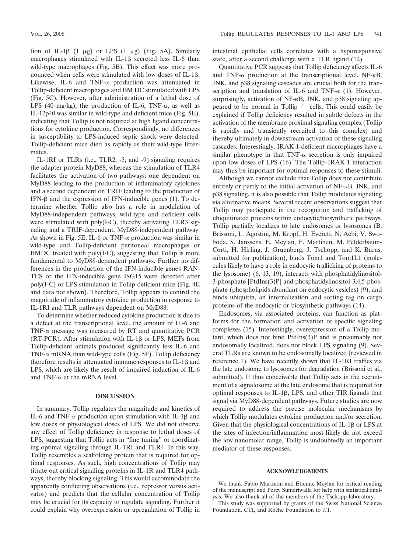tion of IL-1 $\beta$  (1  $\mu$ g) or LPS (1  $\mu$ g) (Fig. 5A). Similarly macrophages stimulated with IL-1 $\beta$  secreted less IL-6 than wild-type macrophages (Fig. 5B). This effect was more pronounced when cells were stimulated with low doses of IL-1 $\beta$ . Likewise, IL-6 and TNF- $\alpha$  production was attenuated in Tollip-deficient macrophages and BM DC stimulated with LPS (Fig. 5C). However, after administration of a lethal dose of LPS (40 mg/kg), the production of IL-6, TNF- $\alpha$ , as well as IL-12p40 was similar in wild-type and deficient mice (Fig. 5E), indicating that Tollip is not required at high ligand concentrations for cytokine production. Correspondingly, no differences in susceptibility to LPS-induced septic shock were detected: Tollip-deficient mice died as rapidly as their wild-type littermates.

IL-1RI or TLRs (i.e., TLR2, -5, and -9) signaling requires the adapter protein MyD88, whereas the stimulation of TLR4 facilitates the activation of two pathways: one dependent on MyD88 leading to the production of inflammatory cytokines and a second dependent on TRIF leading to the production of IFN- $\beta$  and the expression of IFN-inducible genes (1). To determine whether Tollip also has a role in modulation of MyD88-independent pathways, wild-type and deficient cells were stimulated with poly(I-C), thereby activating TLR3 signaling and a TRIF-dependent, MyD88-independent pathway. As shown in Fig. 5E, IL-6 or TNF- $\alpha$  production was similar in wild-type and Tollip-deficient peritoneal macrophages or BMDC treated with poly(I-C), suggesting that Tollip is more fundamental to MyD88-dependent pathways. Further no differences in the production of the IFN-inducible genes RAN-TES or the IFN-inducible gene ISG15 were detected after poly(I-C) or LPS stimulation in Tollip-deficient mice (Fig. 4E and data not shown). Therefore, Tollip appears to control the magnitude of inflammatory cytokine production in response to IL-1RI and TLR pathways dependent on MyD88.

To determine whether reduced cytokine production is due to a defect at the transcriptional level, the amount of IL-6 and TNF- $\alpha$  message was measured by RT and quantitative PCR (RT-PCR). After stimulation with IL-1 $\beta$  or LPS, MEFs from Tollip-deficient animals produced significantly less IL-6 and TNF- $\alpha$  mRNA than wild-type cells (Fig. 5F). Tollip deficiency therefore results in attenuated immune responses to  $IL-1\beta$  and LPS, which are likely the result of impaired induction of IL-6 and TNF- $\alpha$  at the mRNA level.

## **DISCUSSION**

In summary, Tollip regulates the magnitude and kinetics of IL-6 and TNF- $\alpha$  production upon stimulation with IL-1 $\beta$  and low doses or physiological doses of LPS. We did not observe any effect of Tollip deficiency in response to lethal doses of LPS, suggesting that Tollip acts in "fine tuning" or coordinating optimal signaling through IL-1RI and TLR4. In this way, Tollip resembles a scaffolding protein that is required for optimal responses. As such, high concentrations of Tollip may titrate out critical signaling proteins in IL-1R and TLR4 pathways, thereby blocking signaling. This would accommodate the apparently conflicting observations (i.e., repressor versus activator) and predicts that the cellular concentration of Tollip may be crucial for its capacity to regulate signaling. Further it could explain why overexpression or upregulation of Tollip in

intestinal epithelial cells correlates with a hyporesponsive state, after a second challenge with a TLR ligand (12).

Quantitative PCR suggests that Tollip deficiency affects IL-6 and TNF- $\alpha$  production at the transcriptional level. NF- $\kappa$ B, JNK, and p38 signaling cascades are crucial both for the transcription and translation of IL-6 and TNF- $\alpha$  (1). However, surprisingly, activation of NF-<sub>K</sub>B, JNK, and p38 signaling appeared to be normal in Tollip<sup> $-/-$ </sup> cells. This could easily be explained if Tollip deficiency resulted in subtle defects in the activation of the membrane proximal signaling complex (Tollip is rapidly and transiently recruited to this complex) and thereby ultimately in downstream activation of these signaling cascades. Interestingly, IRAK-1-deficient macrophages have a similar phenotype in that TNF- $\alpha$  secretion is only impaired upon low doses of LPS (16). The Tollip–IRAK-1 interaction may thus be important for optimal responses to these stimuli.

Although we cannot exclude that Tollip does not contribute entirely or partly to the initial activation of  $NF-\kappa B$ , JNK, and p38 signaling, it is also possible that Tollip modulates signaling via alternative means. Several recent observations suggest that Tollip may participate in the recognition and trafficking of ubiquitinated proteins within endocytic/biosynthetic pathways. Tollip partially localizes to late endosomes or lysosomes (B. Brissoni, L. Agostini, M. Kropf, H. Everett, N. Aebi, V. Swoboda, S. Janssens, E. Meylan, F. Martinen, M. Felderbaum-Corti, H. Hirling, J. Gruenberg, J. Tschopp, and K. Burns, submitted for publication), binds Tom1 and Tom1L1 (molecules likely to have a role in endocytic trafficking of proteins to the lysosome) (6, 13, 19), interacts with phosphatidylinositol-3-phosphate [PtdIns(3)P] and phosphatidylinositol-3,4,5-phosphate (phospholipids abundant on endocytic vesicles) (9), and binds ubiquitin, an internalization and sorting tag on cargo proteins of the endocytic or biosynthetic pathways (14).

Endosomes, via associated proteins, can function as platforms for the formation and activation of specific signaling complexes (15). Interestingly, overexpression of a Tollip mutant, which does not bind PtdIns(3)P and is presumably not endosomally localized, does not block LPS signaling (9). Several TLRs are known to be endosomally localized (reviewed in reference 1). We have recently shown that IL-1RI traffics via the late endosome to lysosomes for degradation (Brissoni et al., submitted). It thus conceivable that Tollip acts in the recruitment of a signalosome at the late endosome that is required for optimal responses to IL-1 $\beta$ , LPS, and other TIR ligands that signal via MyD88-dependent pathways. Future studies are now required to address the precise molecular mechanisms by which Tollip modulates cytokine production and/or secretion. Given that the physiological concentrations of IL-1 $\beta$  or LPS at the sites of infection/inflammation most likely do not exceed the low nanomolar range, Tollip is undoubtedly an important mediator of these responses.

### **ACKNOWLEDGMENTS**

We thank Fabio Martinon and Etienne Meylan for critical reading of the manuscript and Percy Sumariwalla for help with statistical analysis. We also thank all of the members of the Tschopp laboratory.

This study was supported by grants of the Swiss National Science Foundation, CTI, and Roche Foundation to J.T.